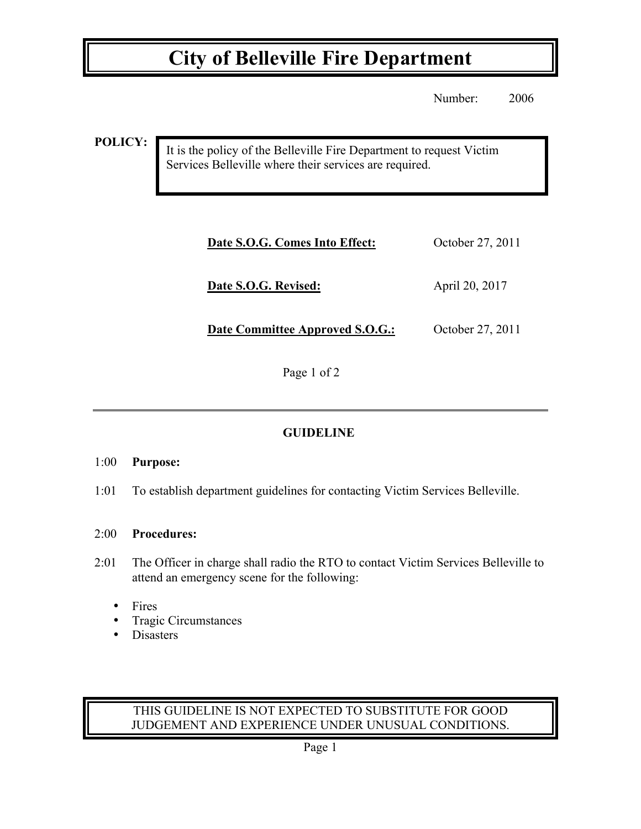## **City of Belleville Fire Department**

Number: 2006

**POLICY:**

It is the policy of the Belleville Fire Department to request Victim Services Belleville where their services are required.

| Date S.O.G. Comes Into Effect:  | October 27, 2011 |
|---------------------------------|------------------|
| Date S.O.G. Revised:            | April 20, 2017   |
| Date Committee Approved S.O.G.: | October 27, 2011 |

Page 1 of 2

### **GUIDELINE**

#### 1:00 **Purpose:**

1:01 To establish department guidelines for contacting Victim Services Belleville.

#### 2:00 **Procedures:**

- 2:01 The Officer in charge shall radio the RTO to contact Victim Services Belleville to attend an emergency scene for the following:
	- Fires
	- Tragic Circumstances<br>• Disasters
	- Disasters

#### THIS GUIDELINE IS NOT EXPECTED TO SUBSTITUTE FOR GOOD JUDGEMENT AND EXPERIENCE UNDER UNUSUAL CONDITIONS.